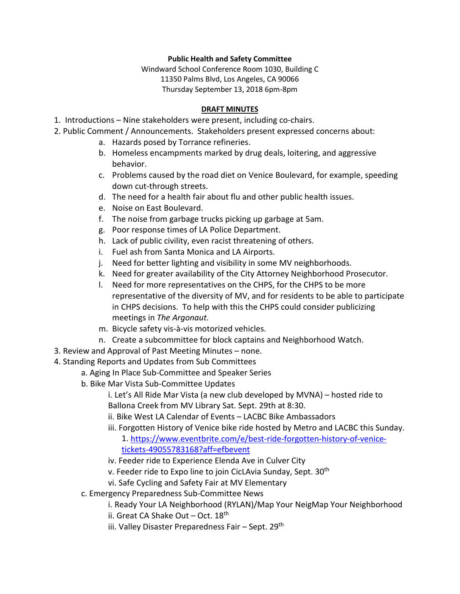## **Public Health and Safety Committee**

Windward School Conference Room 1030, Building C 11350 Palms Blvd, Los Angeles, CA 90066 Thursday September 13, 2018 6pm-8pm

## **DRAFT MINUTES**

- 1. Introductions Nine stakeholders were present, including co-chairs.
- 2. Public Comment / Announcements. Stakeholders present expressed concerns about:
	- a. Hazards posed by Torrance refineries.
	- b. Homeless encampments marked by drug deals, loitering, and aggressive behavior.
	- c. Problems caused by the road diet on Venice Boulevard, for example, speeding down cut-through streets.
	- d. The need for a health fair about flu and other public health issues.
	- e. Noise on East Boulevard.
	- f. The noise from garbage trucks picking up garbage at 5am.
	- g. Poor response times of LA Police Department.
	- h. Lack of public civility, even racist threatening of others.
	- i. Fuel ash from Santa Monica and LA Airports.
	- j. Need for better lighting and visibility in some MV neighborhoods.
	- k. Need for greater availability of the City Attorney Neighborhood Prosecutor.
	- l. Need for more representatives on the CHPS, for the CHPS to be more representative of the diversity of MV, and for residents to be able to participate in CHPS decisions. To help with this the CHPS could consider publicizing meetings in *The Argonaut.*
	- m. Bicycle safety vis-à-vis motorized vehicles.
	- n. Create a subcommittee for block captains and Neighborhood Watch.
- 3. Review and Approval of Past Meeting Minutes none.
- 4. Standing Reports and Updates from Sub Committees
	- a. Aging In Place Sub-Committee and Speaker Series
	- b. Bike Mar Vista Sub-Committee Updates

i. Let's All Ride Mar Vista (a new club developed by MVNA) – hosted ride to Ballona Creek from MV Library Sat. Sept. 29th at 8:30.

- ii. Bike West LA Calendar of Events LACBC Bike Ambassadors
- iii. Forgotten History of Venice bike ride hosted by Metro and LACBC this Sunday.

1. [https://www.eventbrite.com/e/best-ride-forgotten-history-of-venice](https://www.eventbrite.com/e/best-ride-forgotten-history-of-venice-tickets-49055783168?aff=efbevent)[tickets-49055783168?aff=efbevent](https://www.eventbrite.com/e/best-ride-forgotten-history-of-venice-tickets-49055783168?aff=efbevent)

- iv. Feeder ride to Experience Elenda Ave in Culver City
- v. Feeder ride to Expo line to join CicLAvia Sunday, Sept. 30<sup>th</sup>
- vi. Safe Cycling and Safety Fair at MV Elementary
- c. Emergency Preparedness Sub-Committee News
	- i. Ready Your LA Neighborhood (RYLAN)/Map Your NeigMap Your Neighborhood
	- ii. Great CA Shake Out Oct.  $18^{th}$
	- iii. Valley Disaster Preparedness Fair Sept. 29<sup>th</sup>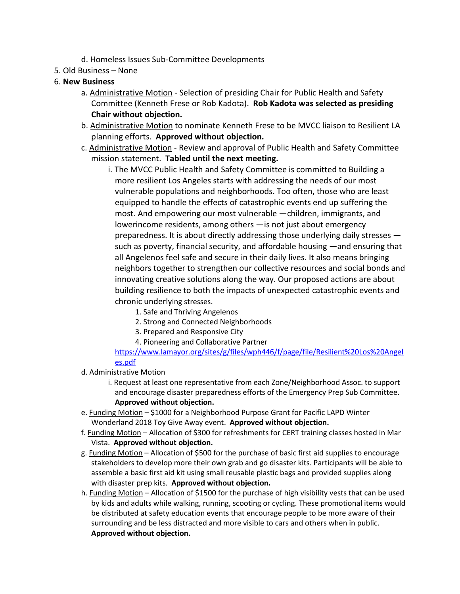- d. Homeless Issues Sub-Committee Developments
- 5. Old Business None

## 6. **New Business**

- a. Administrative Motion Selection of presiding Chair for Public Health and Safety Committee (Kenneth Frese or Rob Kadota). **Rob Kadota was selected as presiding Chair without objection.**
- b. Administrative Motion to nominate Kenneth Frese to be MVCC liaison to Resilient LA planning efforts. **Approved without objection.**
- c. Administrative Motion Review and approval of Public Health and Safety Committee mission statement. **Tabled until the next meeting.**
	- i. The MVCC Public Health and Safety Committee is committed to Building a more resilient Los Angeles starts with addressing the needs of our most vulnerable populations and neighborhoods. Too often, those who are least equipped to handle the effects of catastrophic events end up suffering the most. And empowering our most vulnerable —children, immigrants, and lowerincome residents, among others —is not just about emergency preparedness. It is about directly addressing those underlying daily stresses such as poverty, financial security, and affordable housing —and ensuring that all Angelenos feel safe and secure in their daily lives. It also means bringing neighbors together to strengthen our collective resources and social bonds and innovating creative solutions along the way. Our proposed actions are about building resilience to both the impacts of unexpected catastrophic events and chronic underlying stresses.
		- 1. Safe and Thriving Angelenos
		- 2. Strong and Connected Neighborhoods
		- 3. Prepared and Responsive City
		- 4. Pioneering and Collaborative Partner

[https://www.lamayor.org/sites/g/files/wph446/f/page/file/Resilient%20Los%20Angel](https://www.lamayor.org/sites/g/files/wph446/f/page/file/Resilient%20Los%20Angeles.pdf) [es.pdf](https://www.lamayor.org/sites/g/files/wph446/f/page/file/Resilient%20Los%20Angeles.pdf)

- d. Administrative Motion
	- i. Request at least one representative from each Zone/Neighborhood Assoc. to support and encourage disaster preparedness efforts of the Emergency Prep Sub Committee. **Approved without objection.**
- e. Funding Motion \$1000 for a Neighborhood Purpose Grant for Pacific LAPD Winter Wonderland 2018 Toy Give Away event. **Approved without objection.**
- f. Funding Motion Allocation of \$300 for refreshments for CERT training classes hosted in Mar Vista. **Approved without objection.**
- g. Funding Motion Allocation of \$500 for the purchase of basic first aid supplies to encourage stakeholders to develop more their own grab and go disaster kits. Participants will be able to assemble a basic first aid kit using small reusable plastic bags and provided supplies along with disaster prep kits. **Approved without objection.**
- h. Funding Motion Allocation of \$1500 for the purchase of high visibility vests that can be used by kids and adults while walking, running, scooting or cycling. These promotional items would be distributed at safety education events that encourage people to be more aware of their surrounding and be less distracted and more visible to cars and others when in public. **Approved without objection.**